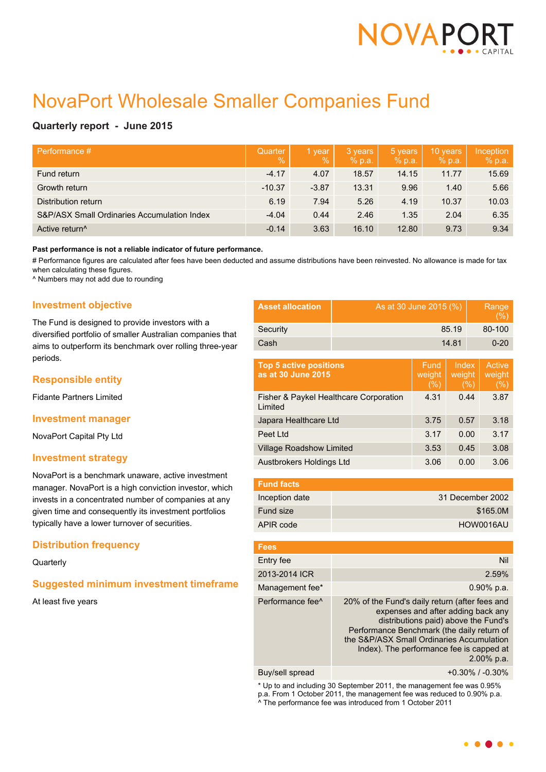

# NovaPort Wholesale Smaller Companies Fund

# **Quarterly report - June 2015**

| Performance #                               | Quarter<br>$\mathcal{A}$ | 1 year<br>$\%$ | 3 years<br>% p.a. | 5 years<br>% p.a. | 10 years<br>% p.a. | Inception<br>% p.a. |
|---------------------------------------------|--------------------------|----------------|-------------------|-------------------|--------------------|---------------------|
| Fund return                                 | $-4.17$                  | 4.07           | 18.57             | 14.15             | 11.77              | 15.69               |
| Growth return                               | $-10.37$                 | $-3.87$        | 13.31             | 9.96              | 1.40               | 5.66                |
| Distribution return                         | 6.19                     | 7.94           | 5.26              | 4.19              | 10.37              | 10.03               |
| S&P/ASX Small Ordinaries Accumulation Index | $-4.04$                  | 0.44           | 2.46              | 1.35              | 2.04               | 6.35                |
| Active return <sup>^</sup>                  | $-0.14$                  | 3.63           | 16.10             | 12.80             | 9.73               | 9.34                |

#### **Past performance is not a reliable indicator of future performance.**

# Performance figures are calculated after fees have been deducted and assume distributions have been reinvested. No allowance is made for tax when calculating these figures.

^ Numbers may not add due to rounding

# **Investment objective**

The Fund is designed to provide investors with a diversified portfolio of smaller Australian companies that aims to outperform its benchmark over rolling three-year periods.

## **Responsible entity**

Fidante Partners Limited

#### **Investment manager**

NovaPort Capital Pty Ltd

## **Investment strategy**

NovaPort is a benchmark unaware, active investment manager. NovaPort is a high conviction investor, which invests in a concentrated number of companies at any given time and consequently its investment portfolios typically have a lower turnover of securities.

## **Distribution frequency**

## **Quarterly**

# **Suggested minimum investment timeframe**

At least five years

| <b>Asset allocation</b> | As at 30 June 2015 (%) | Range<br>(9/0) |
|-------------------------|------------------------|----------------|
| Security                | 85.19                  | 80-100         |
| Cash                    | 14.81                  | $0 - 20$       |

| <b>Top 5 active positions</b><br>as at 30 June 2015 | Fund.<br>weight<br>(% ) | Index<br>weight<br>(% ) | Active<br>weight<br>(%) |
|-----------------------------------------------------|-------------------------|-------------------------|-------------------------|
| Fisher & Paykel Healthcare Corporation<br>Limited   | 4.31                    | 0.44                    | 3.87                    |
| Japara Healthcare Ltd                               | 3.75                    | 0.57                    | 3.18                    |
| Peet Ltd                                            | 3.17                    | 0.00                    | 3.17                    |
| <b>Village Roadshow Limited</b>                     | 3.53                    | 0.45                    | 3.08                    |
| Austbrokers Holdings Ltd                            | 3.06                    | 0.00                    | 3.06                    |

| <b>Fund facts</b> |                  |
|-------------------|------------------|
| Inception date    | 31 December 2002 |
| Fund size         | \$165.0M         |
| APIR code         | HOW0016AU        |

| <b>Fees</b>                  |                                                                                                                                                                                                                                                                                   |
|------------------------------|-----------------------------------------------------------------------------------------------------------------------------------------------------------------------------------------------------------------------------------------------------------------------------------|
| Entry fee                    | Nil                                                                                                                                                                                                                                                                               |
| 2013-2014 ICR                | 2.59%                                                                                                                                                                                                                                                                             |
| Management fee*              | $0.90\%$ p.a.                                                                                                                                                                                                                                                                     |
| Performance fee <sup>^</sup> | 20% of the Fund's daily return (after fees and<br>expenses and after adding back any<br>distributions paid) above the Fund's<br>Performance Benchmark (the daily return of<br>the S&P/ASX Small Ordinaries Accumulation<br>Index). The performance fee is capped at<br>2.00% p.a. |
| Buy/sell spread              | $+0.30\%$ / $-0.30\%$                                                                                                                                                                                                                                                             |

\* Up to and including 30 September 2011, the management fee was 0.95% p.a. From 1 October 2011, the management fee was reduced to 0.90% p.a. ^ The performance fee was introduced from 1 October 2011

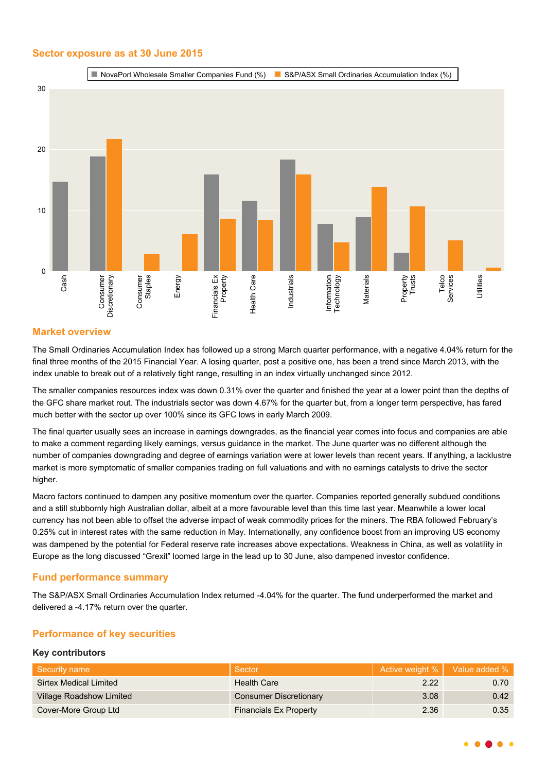# **Sector exposure as at 30 June 2015**



# **Market overview**

The Small Ordinaries Accumulation Index has followed up a strong March quarter performance, with a negative 4.04% return for the final three months of the 2015 Financial Year. A losing quarter, post a positive one, has been a trend since March 2013, with the index unable to break out of a relatively tight range, resulting in an index virtually unchanged since 2012.

The smaller companies resources index was down 0.31% over the quarter and finished the year at a lower point than the depths of the GFC share market rout. The industrials sector was down 4.67% for the quarter but, from a longer term perspective, has fared much better with the sector up over 100% since its GFC lows in early March 2009.

The final quarter usually sees an increase in earnings downgrades, as the financial year comes into focus and companies are able to make a comment regarding likely earnings, versus guidance in the market. The June quarter was no different although the number of companies downgrading and degree of earnings variation were at lower levels than recent years. If anything, a lacklustre market is more symptomatic of smaller companies trading on full valuations and with no earnings catalysts to drive the sector higher.

Macro factors continued to dampen any positive momentum over the quarter. Companies reported generally subdued conditions and a still stubbornly high Australian dollar, albeit at a more favourable level than this time last year. Meanwhile a lower local currency has not been able to offset the adverse impact of weak commodity prices for the miners. The RBA followed February's 0.25% cut in interest rates with the same reduction in May. Internationally, any confidence boost from an improving US economy was dampened by the potential for Federal reserve rate increases above expectations. Weakness in China, as well as volatility in Europe as the long discussed "Grexit" loomed large in the lead up to 30 June, also dampened investor confidence.

# **Fund performance summary**

The S&P/ASX Small Ordinaries Accumulation Index returned -4.04% for the quarter. The fund underperformed the market and delivered a -4.17% return over the quarter.

# **Performance of key securities**

## **Key contributors**

| Security name                   | Sector                        |      | Active weight %   Value added % |
|---------------------------------|-------------------------------|------|---------------------------------|
| Sirtex Medical Limited          | <b>Health Care</b>            | 2.22 | 0.70                            |
| <b>Village Roadshow Limited</b> | <b>Consumer Discretionary</b> | 3.08 | 0.42                            |
| Cover-More Group Ltd            | <b>Financials Ex Property</b> | 2.36 | 0.35                            |